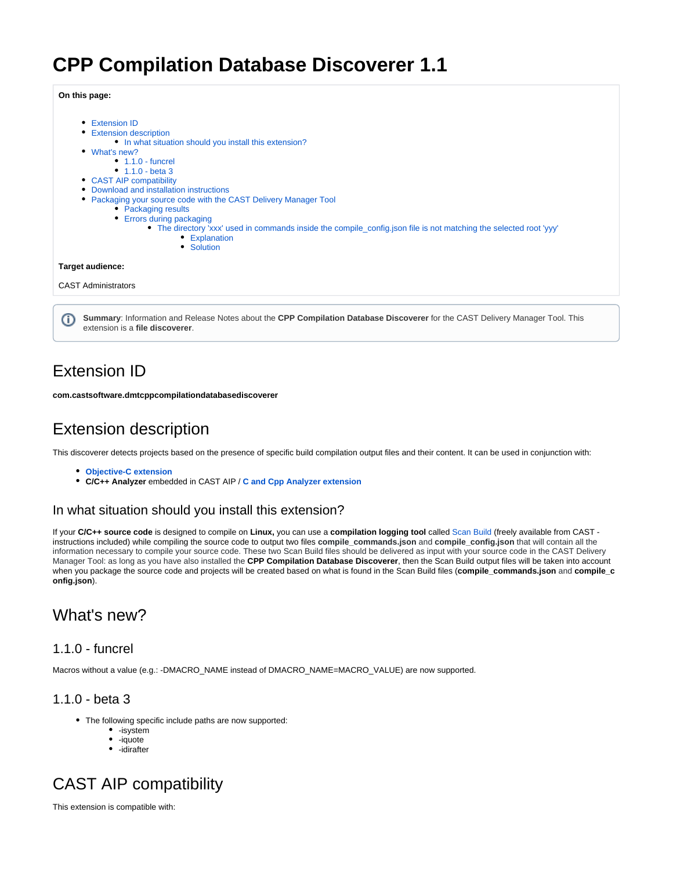# **CPP Compilation Database Discoverer 1.1**

#### **On this page:**

|    | <b>Extension ID</b><br>٠                                                                                                      |  |  |  |  |  |  |
|----|-------------------------------------------------------------------------------------------------------------------------------|--|--|--|--|--|--|
|    | <b>Extension description</b><br>٠                                                                                             |  |  |  |  |  |  |
|    | • In what situation should you install this extension?                                                                        |  |  |  |  |  |  |
|    | • What's new?                                                                                                                 |  |  |  |  |  |  |
|    | $\bullet$ 1.1.0 - funcrel                                                                                                     |  |  |  |  |  |  |
|    | • $1.1.0 - beta 3$                                                                                                            |  |  |  |  |  |  |
|    | • CAST AIP compatibility                                                                                                      |  |  |  |  |  |  |
|    | Download and installation instructions                                                                                        |  |  |  |  |  |  |
|    | Packaging your source code with the CAST Delivery Manager Tool                                                                |  |  |  |  |  |  |
|    | • Packaging results                                                                                                           |  |  |  |  |  |  |
|    | • Errors during packaging                                                                                                     |  |  |  |  |  |  |
|    | • The directory 'xxx' used in commands inside the compile_config.json file is not matching the selected root 'yyy'            |  |  |  |  |  |  |
|    | • Explanation<br>• Solution                                                                                                   |  |  |  |  |  |  |
|    |                                                                                                                               |  |  |  |  |  |  |
|    | Target audience:                                                                                                              |  |  |  |  |  |  |
|    | <b>CAST Administrators</b>                                                                                                    |  |  |  |  |  |  |
|    |                                                                                                                               |  |  |  |  |  |  |
|    |                                                                                                                               |  |  |  |  |  |  |
|    | Summary: Information and Release Notes about the CPP Compilation Database Discoverer for the CAST Delivery Manager Tool. This |  |  |  |  |  |  |
| Œ. | extension is a file discoverer.                                                                                               |  |  |  |  |  |  |

<span id="page-0-0"></span>Extension ID

**com.castsoftware.dmtcppcompilationdatabasediscoverer**

# <span id="page-0-1"></span>Extension description

This discoverer detects projects based on the presence of specific build compilation output files and their content. It can be used in conjunction with:

- **[Objective-C extension](https://doc.castsoftware.com/display/TECHNOS/Objective-C+Analyzer)**
- **C/C++ Analyzer** embedded in CAST AIP / **[C and Cpp Analyzer extension](https://doc.castsoftware.com/display/TECHNOS/C+and+Cpp+Analyzer)**

## <span id="page-0-2"></span>In what situation should you install this extension?

If your **C/C++ source code** is designed to compile on **Linux,** you can use a **compilation logging tool** called [Scan Build](https://github.com/CAST-projects/scan-build/) (freely available from CAST instructions included) while compiling the source code to output two files **compile\_commands.json** and **compile\_config.json** that will contain all the information necessary to compile your source code. These two Scan Build files should be delivered as input with your source code in the CAST Delivery Manager Tool: as long as you have also installed the **CPP Compilation Database Discoverer**, then the Scan Build output files will be taken into account when you package the source code and projects will be created based on what is found in the Scan Build files (**compile\_commands.json** and **compile\_c onfig.json**).

## <span id="page-0-3"></span>What's new?

### <span id="page-0-4"></span>1.1.0 - funcrel

Macros without a value (e.g.: -DMACRO\_NAME instead of DMACRO\_NAME=MACRO\_VALUE) are now supported.

## <span id="page-0-5"></span>1.1.0 - beta 3

- The following specific include paths are now supported:
	- -isystem
	- -iquote • -idirafter

# <span id="page-0-6"></span>CAST AIP compatibility

This extension is compatible with: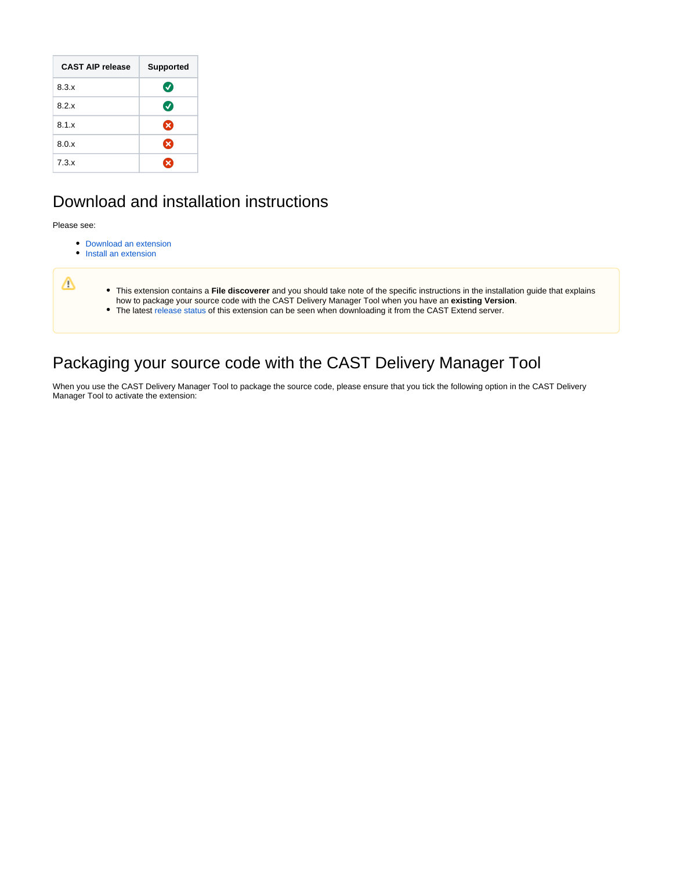| <b>CAST AIP release</b> | <b>Supported</b>      |
|-------------------------|-----------------------|
| 8.3.x                   | $\bm{\sigma}$         |
| 8.2.x                   | $\boldsymbol{\sigma}$ |
| 8.1.x                   | ☎                     |
| 8.0.x                   | ☎                     |
| 7.3.x                   | $\mathbf x$           |

# <span id="page-1-0"></span>Download and installation instructions

Please see:

- [Download an extension](https://doc.castsoftware.com/display/EXTEND/Download+an+extension)
- [Install an extension](https://doc.castsoftware.com/display/EXTEND/Install+an+extension)

| т | • This extension contains a File discoverer and you should take note of the specific instructions in the installation quide that explains<br>how to package your source code with the CAST Delivery Manager Tool when you have an existing Version.<br>• The latest release status of this extension can be seen when downloading it from the CAST Extend server. |
|---|-------------------------------------------------------------------------------------------------------------------------------------------------------------------------------------------------------------------------------------------------------------------------------------------------------------------------------------------------------------------|

# <span id="page-1-1"></span>Packaging your source code with the CAST Delivery Manager Tool

When you use the CAST Delivery Manager Tool to package the source code, please ensure that you tick the following option in the CAST Delivery Manager Tool to activate the extension: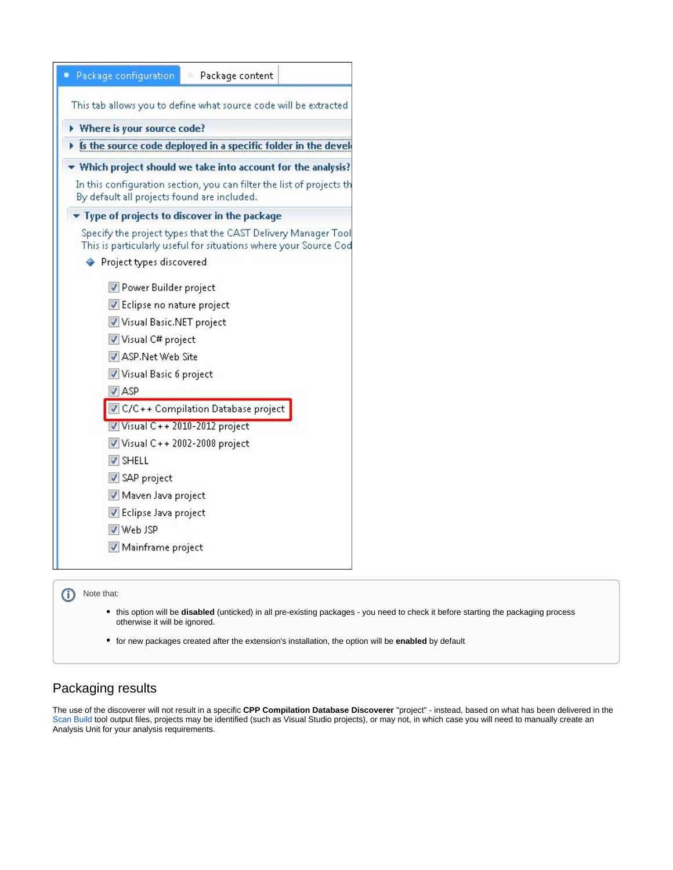| • Package configuration<br>Package content<br>Φ                                                                                  |  |  |  |  |  |
|----------------------------------------------------------------------------------------------------------------------------------|--|--|--|--|--|
| This tab allows you to define what source code will be extracted                                                                 |  |  |  |  |  |
| Where is your source code?                                                                                                       |  |  |  |  |  |
| Is the source code deployed in a specific folder in the deve                                                                     |  |  |  |  |  |
| Which project should we take into account for the analysis                                                                       |  |  |  |  |  |
| In this configuration section, you can filter the list of projects t<br>By default all projects found are included.              |  |  |  |  |  |
| Fype of projects to discover in the package                                                                                      |  |  |  |  |  |
| Specify the project types that the CAST Delivery Manager Too<br>This is particularly useful for situations where your Source Co. |  |  |  |  |  |
| ♦ Project types discovered                                                                                                       |  |  |  |  |  |
| Power Builder project                                                                                                            |  |  |  |  |  |
| Eclipse no nature project                                                                                                        |  |  |  |  |  |
| Visual Basic.NET project                                                                                                         |  |  |  |  |  |
| Visual C# project                                                                                                                |  |  |  |  |  |
| ASP.Net Web Site                                                                                                                 |  |  |  |  |  |
| Visual Basic 6 project                                                                                                           |  |  |  |  |  |
| V ASP                                                                                                                            |  |  |  |  |  |
| C/C++ Compilation Database project                                                                                               |  |  |  |  |  |
| Visual C++2010-2012 project                                                                                                      |  |  |  |  |  |
| $\triangledown$ Visual C + + 2002-2008 project                                                                                   |  |  |  |  |  |
| <b>V</b> SHELL                                                                                                                   |  |  |  |  |  |
| SAP project                                                                                                                      |  |  |  |  |  |
| Maven Java project                                                                                                               |  |  |  |  |  |
| Eclipse Java project                                                                                                             |  |  |  |  |  |
| V Web JSP                                                                                                                        |  |  |  |  |  |
| Mainframe project                                                                                                                |  |  |  |  |  |
|                                                                                                                                  |  |  |  |  |  |

- this option will be **disabled** (unticked) in all pre-existing packages you need to check it before starting the packaging process otherwise it will be ignored.
- for new packages created after the extension's installation, the option will be **enabled** by default

## <span id="page-2-0"></span>Packaging results

The use of the discoverer will not result in a specific **CPP Compilation Database Discoverer** "project" - instead, based on what has been delivered in the [Scan Build](https://github.com/CAST-projects/scan-build/) tool output files, projects may be identified (such as Visual Studio projects), or may not, in which case you will need to manually create an Analysis Unit for your analysis requirements.

<sup>(</sup>i) Note that: